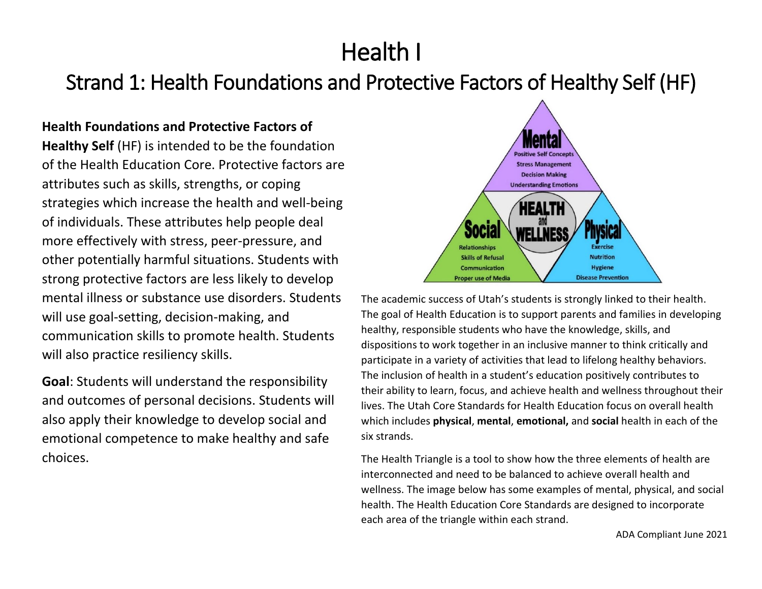# Health I

# Strand 1: Health Foundations and Protective Factors of Healthy Self (HF)

# **Health Foundations and Protective Factors of**

**Healthy Self** (HF) is intended to be the foundation of the Health Education Core. Protective factors are attributes such as skills, strengths, or coping strategies which increase the health and well-being of individuals. These attributes help people deal more effectively with stress, peer-pressure, and other potentially harmful situations. Students with strong protective factors are less likely to develop mental illness or substance use disorders. Students will use goal-setting, decision-making, and communication skills to promote health. Students will also practice resiliency skills.

**Goal**: Students will understand the responsibility and outcomes of personal decisions. Students will also apply their knowledge to develop social and emotional competence to make healthy and safe choices.



The academic success of Utah's students is strongly linked to their health. The goal of Health Education is to support parents and families in developing healthy, responsible students who have the knowledge, skills, and dispositions to work together in an inclusive manner to think critically and participate in a variety of activities that lead to lifelong healthy behaviors. The inclusion of health in a student's education positively contributes to their ability to learn, focus, and achieve health and wellness throughout their lives. The Utah Core Standards for Health Education focus on overall health which includes **physical**, **mental**, **emotional,** and **social** health in each of the six strands.

The Health Triangle is a tool to show how the three elements of health are interconnected and need to be balanced to achieve overall health and wellness. The image below has some examples of mental, physical, and social health. The Health Education Core Standards are designed to incorporate each area of the triangle within each strand.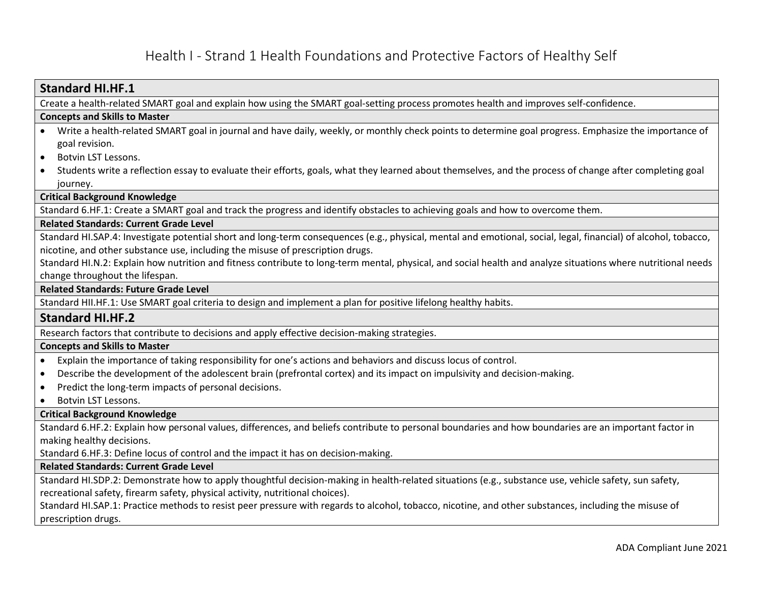# Health I - Strand 1 Health Foundations and Protective Factors of Healthy Self

## **Standard HI.HF.1** Create a health-related SMART goal and explain how using the SMART goal-setting process promotes health and improves self-confidence. **Concepts and Skills to Master**  • Write a health-related SMART goal in journal and have daily, weekly, or monthly check points to determine goal progress. Emphasize the importance of goal revision. • Botvin LST Lessons. • Students write a reflection essay to evaluate their efforts, goals, what they learned about themselves, and the process of change after completing goal journey. **Critical Background Knowledge** Standard 6.HF.1: Create a SMART goal and track the progress and identify obstacles to achieving goals and how to overcome them. **Related Standards: Current Grade Level** Standard HI.SAP.4: Investigate potential short and long-term consequences (e.g., physical, mental and emotional, social, legal, financial) of alcohol, tobacco, nicotine, and other substance use, including the misuse of prescription drugs. Standard HI.N.2: Explain how nutrition and fitness contribute to long-term mental, physical, and social health and analyze situations where nutritional needs change throughout the lifespan. **Related Standards: Future Grade Level**  Standard HII.HF.1: Use SMART goal criteria to design and implement a plan for positive lifelong healthy habits. **Standard HI.HF.2** Research factors that contribute to decisions and apply effective decision-making strategies. **Concepts and Skills to Master**  • Explain the importance of taking responsibility for one's actions and behaviors and discuss locus of control. • Describe the development of the adolescent brain (prefrontal cortex) and its impact on impulsivity and decision-making. • Predict the long-term impacts of personal decisions. • Botvin LST Lessons. **Critical Background Knowledge** Standard 6.HF.2: Explain how personal values, differences, and beliefs contribute to personal boundaries and how boundaries are an important factor in making healthy decisions. Standard 6.HF.3: Define locus of control and the impact it has on decision-making. **Related Standards: Current Grade Level** Standard HI.SDP.2: Demonstrate how to apply thoughtful decision-making in health-related situations (e.g., substance use, vehicle safety, sun safety, recreational safety, firearm safety, physical activity, nutritional choices). Standard HI.SAP.1: Practice methods to resist peer pressure with regards to alcohol, tobacco, nicotine, and other substances, including the misuse of prescription drugs.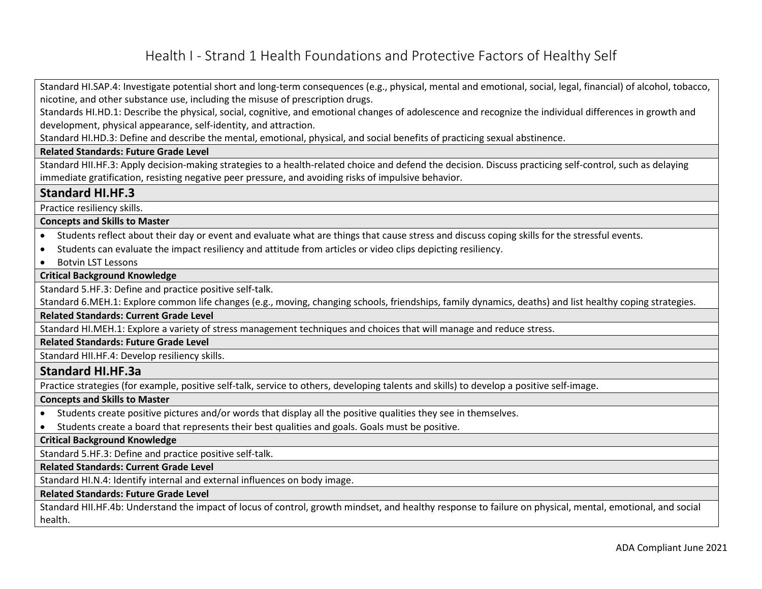# Health I - Strand 1 Health Foundations and Protective Factors of Healthy Self

Standard HI.SAP.4: Investigate potential short and long-term consequences (e.g., physical, mental and emotional, social, legal, financial) of alcohol, tobacco, nicotine, and other substance use, including the misuse of prescription drugs.

Standards HI.HD.1: Describe the physical, social, cognitive, and emotional changes of adolescence and recognize the individual differences in growth and development, physical appearance, self-identity, and attraction.

Standard HI.HD.3: Define and describe the mental, emotional, physical, and social benefits of practicing sexual abstinence.

#### **Related Standards: Future Grade Level**

Standard HII.HF.3: Apply decision-making strategies to a health-related choice and defend the decision. Discuss practicing self-control, such as delaying immediate gratification, resisting negative peer pressure, and avoiding risks of impulsive behavior.

#### **Standard HI.HF.3**

Practice resiliency skills.

#### **Concepts and Skills to Master**

- Students reflect about their day or event and evaluate what are things that cause stress and discuss coping skills for the stressful events.
- Students can evaluate the impact resiliency and attitude from articles or video clips depicting resiliency.
- Botvin LST Lessons

#### **Critical Background Knowledge**

Standard 5.HF.3: Define and practice positive self-talk.

Standard 6.MEH.1: Explore common life changes (e.g., moving, changing schools, friendships, family dynamics, deaths) and list healthy coping strategies.

**Related Standards: Current Grade Level**

Standard HI.MEH.1: Explore a variety of stress management techniques and choices that will manage and reduce stress.

**Related Standards: Future Grade Level** 

Standard HII.HF.4: Develop resiliency skills.

#### **Standard HI.HF.3a**

Practice strategies (for example, positive self-talk, service to others, developing talents and skills) to develop a positive self-image.

#### **Concepts and Skills to Master**

- Students create positive pictures and/or words that display all the positive qualities they see in themselves.
- Students create a board that represents their best qualities and goals. Goals must be positive.

#### **Critical Background Knowledge**

Standard 5.HF.3: Define and practice positive self-talk.

#### **Related Standards: Current Grade Level**

Standard HI.N.4: Identify internal and external influences on body image.

#### **Related Standards: Future Grade Level**

Standard HII.HF.4b: Understand the impact of locus of control, growth mindset, and healthy response to failure on physical, mental, emotional, and social health.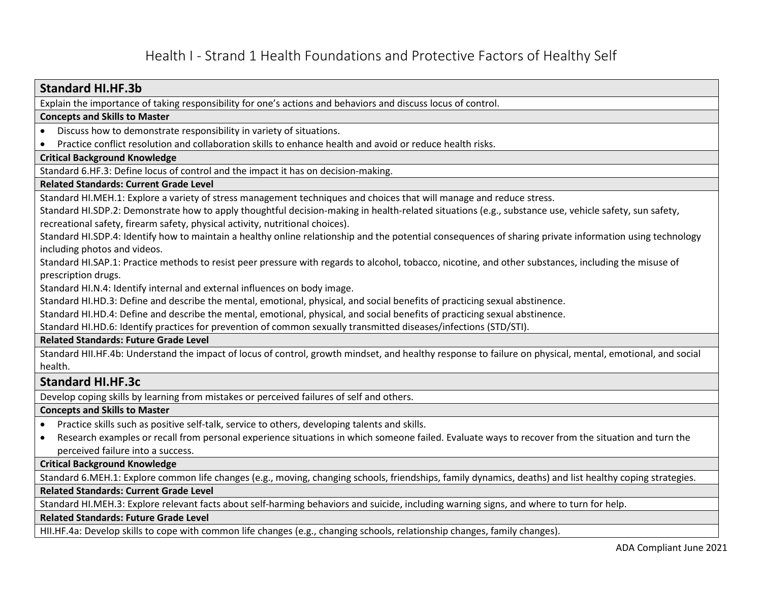## **Standard HI.HF.3b**

Explain the importance of taking responsibility for one's actions and behaviors and discuss locus of control.

#### **Concepts and Skills to Master**

- Discuss how to demonstrate responsibility in variety of situations.
- Practice conflict resolution and collaboration skills to enhance health and avoid or reduce health risks.

#### **Critical Background Knowledge**

Standard 6.HF.3: Define locus of control and the impact it has on decision-making.

#### **Related Standards: Current Grade Level**

Standard HI.MEH.1: Explore a variety of stress management techniques and choices that will manage and reduce stress.

Standard HI.SDP.2: Demonstrate how to apply thoughtful decision-making in health-related situations (e.g., substance use, vehicle safety, sun safety, recreational safety, firearm safety, physical activity, nutritional choices).

Standard HI.SDP.4: Identify how to maintain a healthy online relationship and the potential consequences of sharing private information using technology including photos and videos.

Standard HI.SAP.1: Practice methods to resist peer pressure with regards to alcohol, tobacco, nicotine, and other substances, including the misuse of prescription drugs.

Standard HI.N.4: Identify internal and external influences on body image.

Standard HI.HD.3: Define and describe the mental, emotional, physical, and social benefits of practicing sexual abstinence.

Standard HI.HD.4: Define and describe the mental, emotional, physical, and social benefits of practicing sexual abstinence.

Standard HI.HD.6: Identify practices for prevention of common sexually transmitted diseases/infections (STD/STI).

#### **Related Standards: Future Grade Level**

Standard HII.HF.4b: Understand the impact of locus of control, growth mindset, and healthy response to failure on physical, mental, emotional, and social health.

## **Standard HI.HF.3c**

Develop coping skills by learning from mistakes or perceived failures of self and others.

#### **Concepts and Skills to Master**

- Practice skills such as positive self-talk, service to others, developing talents and skills.
- Research examples or recall from personal experience situations in which someone failed. Evaluate ways to recover from the situation and turn the perceived failure into a success.

#### **Critical Background Knowledge**

Standard 6.MEH.1: Explore common life changes (e.g., moving, changing schools, friendships, family dynamics, deaths) and list healthy coping strategies.

**Related Standards: Current Grade Level**

Standard HI.MEH.3: Explore relevant facts about self-harming behaviors and suicide, including warning signs, and where to turn for help.

### **Related Standards: Future Grade Level**

HII.HF.4a: Develop skills to cope with common life changes (e.g., changing schools, relationship changes, family changes).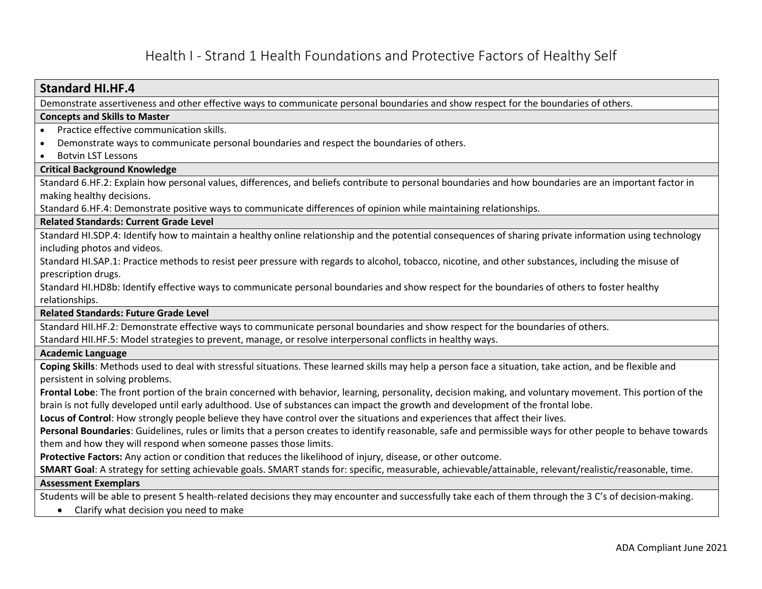## **Standard HI.HF.4**

Demonstrate assertiveness and other effective ways to communicate personal boundaries and show respect for the boundaries of others.

#### **Concepts and Skills to Master**

- Practice effective communication skills.
- Demonstrate ways to communicate personal boundaries and respect the boundaries of others.
- Botvin LST Lessons

#### **Critical Background Knowledge**

Standard 6.HF.2: Explain how personal values, differences, and beliefs contribute to personal boundaries and how boundaries are an important factor in making healthy decisions.

Standard 6.HF.4: Demonstrate positive ways to communicate differences of opinion while maintaining relationships.

#### **Related Standards: Current Grade Level**

Standard HI.SDP.4: Identify how to maintain a healthy online relationship and the potential consequences of sharing private information using technology including photos and videos.

Standard HI.SAP.1: Practice methods to resist peer pressure with regards to alcohol, tobacco, nicotine, and other substances, including the misuse of prescription drugs.

Standard HI.HD8b: Identify effective ways to communicate personal boundaries and show respect for the boundaries of others to foster healthy relationships.

#### **Related Standards: Future Grade Level**

Standard HII.HF.2: Demonstrate effective ways to communicate personal boundaries and show respect for the boundaries of others.

Standard HII.HF.5: Model strategies to prevent, manage, or resolve interpersonal conflicts in healthy ways.

#### **Academic Language**

**Coping Skills**: Methods used to deal with stressful situations. These learned skills may help a person face a situation, take action, and be flexible and persistent in solving problems.

**Frontal Lobe**: The front portion of the brain concerned with behavior, learning, personality, decision making, and voluntary movement. This portion of the brain is not fully developed until early adulthood. Use of substances can impact the growth and development of the frontal lobe.

**Locus of Control**: How strongly people believe they have control over the situations and experiences that affect their lives.

**Personal Boundaries**: Guidelines, rules or limits that a person creates to identify reasonable, safe and permissible ways for other people to behave towards them and how they will respond when someone passes those limits.

**Protective Factors:** Any action or condition that reduces the likelihood of injury, disease, or other outcome.

**SMART Goal**: A strategy for setting achievable goals. SMART stands for: specific, measurable, achievable/attainable, relevant/realistic/reasonable, time.

#### **Assessment Exemplars**

Students will be able to present 5 health-related decisions they may encounter and successfully take each of them through the 3 C's of decision-making.

• Clarify what decision you need to make